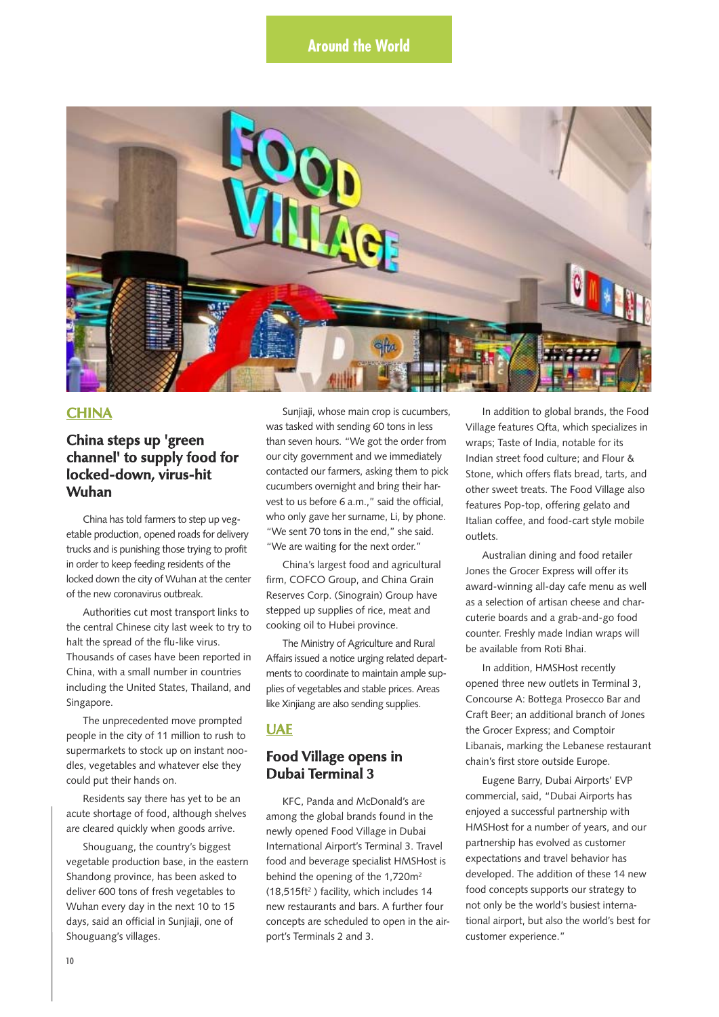

### **CHINA**

## **China steps up 'green channel' to supply food for locked-down, virus-hit Wuhan**

China has told farmers to step up vegetable production, opened roads for delivery trucks and is punishing those trying to profit in order to keep feeding residents of the locked down the city of Wuhan at the center of the new coronavirus outbreak.

Authorities cut most transport links to the central Chinese city last week to try to halt the spread of the flu-like virus. Thousands of cases have been reported in China, with a small number in countries including the United States, Thailand, and Singapore.

The unprecedented move prompted people in the city of 11 million to rush to supermarkets to stock up on instant noodles, vegetables and whatever else they could put their hands on.

Residents say there has yet to be an acute shortage of food, although shelves are cleared quickly when goods arrive.

Shouguang, the country's biggest vegetable production base, in the eastern Shandong province, has been asked to deliver 600 tons of fresh vegetables to Wuhan every day in the next 10 to 15 days, said an official in Sunjiaji, one of Shouguang's villages.

Sunjiaji, whose main crop is cucumbers, was tasked with sending 60 tons in less than seven hours. "We got the order from our city government and we immediately contacted our farmers, asking them to pick cucumbers overnight and bring their harvest to us before 6 a.m.," said the official, who only gave her surname, Li, by phone. "We sent 70 tons in the end," she said. "We are waiting for the next order."

China's largest food and agricultural firm, COFCO Group, and China Grain Reserves Corp. (Sinograin) Group have stepped up supplies of rice, meat and cooking oil to Hubei province.

The Ministry of Agriculture and Rural Affairs issued a notice urging related departments to coordinate to maintain ample supplies of vegetables and stable prices. Areas like Xinjiang are also sending supplies.

## **UAE**

## **Food Village opens in Dubai Terminal 3**

KFC, Panda and McDonald's are among the global brands found in the newly opened Food Village in Dubai International Airport's Terminal 3. Travel food and beverage specialist HMSHost is behind the opening of the 1,720m<sup>2</sup> (18,515ft2 ) facility, which includes 14 new restaurants and bars. A further four concepts are scheduled to open in the airport's Terminals 2 and 3.

In addition to global brands, the Food Village features Qfta, which specializes in wraps; Taste of India, notable for its Indian street food culture; and Flour & Stone, which offers flats bread, tarts, and other sweet treats. The Food Village also features Pop-top, offering gelato and Italian coffee, and food-cart style mobile outlets.

Australian dining and food retailer Jones the Grocer Express will offer its award-winning all-day cafe menu as well as a selection of artisan cheese and charcuterie boards and a grab-and-go food counter. Freshly made Indian wraps will be available from Roti Bhai.

In addition, HMSHost recently opened three new outlets in Terminal 3, Concourse A: Bottega Prosecco Bar and Craft Beer; an additional branch of Jones the Grocer Express; and Comptoir Libanais, marking the Lebanese restaurant chain's first store outside Europe.

Eugene Barry, Dubai Airports' EVP commercial, said, "Dubai Airports has enjoyed a successful partnership with HMSHost for a number of years, and our partnership has evolved as customer expectations and travel behavior has developed. The addition of these 14 new food concepts supports our strategy to not only be the world's busiest international airport, but also the world's best for customer experience."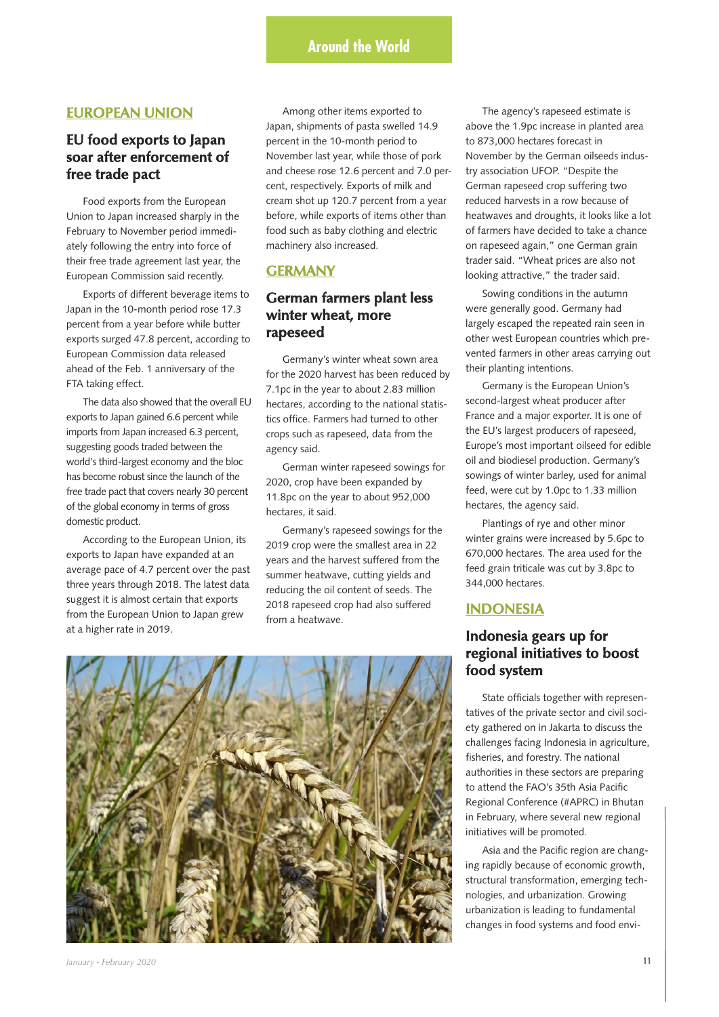### **EUROPEAN UNION**

## **EU food exports to Japan soar after enforcement of free trade pact**

Food exports from the European Union to Japan increased sharply in the February to November period immediately following the entry into force of their free trade agreement last year, the European Commission said recently.

Exports of different beverage items to Japan in the 10-month period rose 17.3 percent from a year before while butter exports surged 47.8 percent, according to European Commission data released ahead of the Feb. 1 anniversary of the FTA taking effect.

The data also showed that the overall EU exports to Japan gained 6.6 percent while imports from Japan increased 6.3 percent, suggesting goods traded between the world's third-largest economy and the bloc has become robust since the launch of the free trade pact that covers nearly 30 percent of the global economy in terms of gross domestic product.

According to the European Union, its exports to Japan have expanded at an average pace of 4.7 percent over the past three years through 2018. The latest data suggest it is almost certain that exports from the European Union to Japan grew at a higher rate in 2019.

Among other items exported to Japan, shipments of pasta swelled 14.9 percent in the 10-month period to November last year, while those of pork and cheese rose 12.6 percent and 7.0 percent, respectively. Exports of milk and cream shot up 120.7 percent from a year before, while exports of items other than food such as baby clothing and electric machinery also increased.

## **GERMANY**

## **German farmers plant less winter wheat, more rapeseed**

Germany's winter wheat sown area for the 2020 harvest has been reduced by 7.1pc in the year to about 2.83 million hectares, according to the national statistics office. Farmers had turned to other crops such as rapeseed, data from the agency said.

German winter rapeseed sowings for 2020, crop have been expanded by 11.8pc on the year to about 952,000 hectares, it said.

Germany's rapeseed sowings for the 2019 crop were the smallest area in 22 years and the harvest suffered from the summer heatwave, cutting yields and reducing the oil content of seeds. The 2018 rapeseed crop had also suffered from a heatwave.

The agency's rapeseed estimate is above the 1.9pc increase in planted area to 873,000 hectares forecast in November by the German oilseeds industry association UFOP. "Despite the German rapeseed crop suffering two reduced harvests in a row because of heatwaves and droughts, it looks like a lot of farmers have decided to take a chance on rapeseed again," one German grain trader said. "Wheat prices are also not looking attractive," the trader said.

Sowing conditions in the autumn were generally good. Germany had largely escaped the repeated rain seen in other west European countries which prevented farmers in other areas carrying out their planting intentions.

Germany is the European Union's second-largest wheat producer after France and a major exporter. It is one of the EU's largest producers of rapeseed, Europe's most important oilseed for edible oil and biodiesel production. Germany's sowings of winter barley, used for animal feed, were cut by 1.0pc to 1.33 million hectares, the agency said.

Plantings of rye and other minor winter grains were increased by 5.6pc to 670,000 hectares. The area used for the feed grain triticale was cut by 3.8pc to 344,000 hectares.

### **INDONESIA**

## **Indonesia gears up for regional initiatives to boost food system**

State officials together with representatives of the private sector and civil society gathered on in Jakarta to discuss the challenges facing Indonesia in agriculture, fisheries, and forestry. The national authorities in these sectors are preparing to attend the FAO's 35th Asia Pacific Regional Conference (#APRC) in Bhutan in February, where several new regional initiatives will be promoted.

Asia and the Pacific region are changing rapidly because of economic growth, structural transformation, emerging technologies, and urbanization. Growing urbanization is leading to fundamental changes in food systems and food envi-